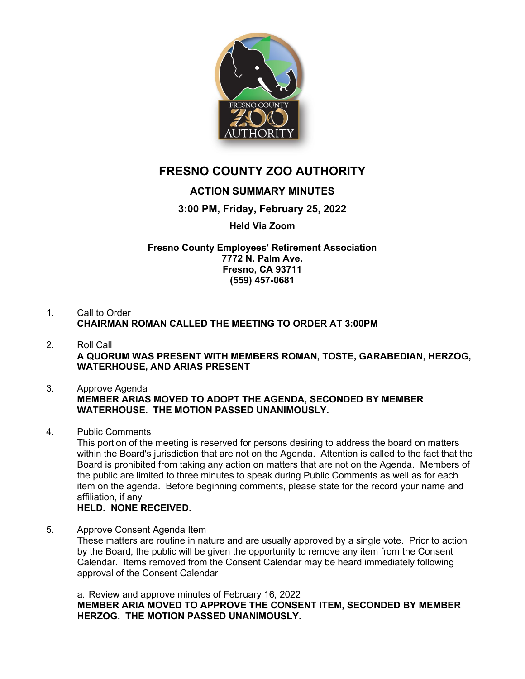

# **FRESNO COUNTY ZOO AUTHORITY**

# **ACTION SUMMARY MINUTES**

## **3:00 PM, Friday, February 25, 2022**

### **Held Via Zoom**

**Fresno County Employees' Retirement Association 7772 N. Palm Ave. Fresno, CA 93711 (559) 457-0681**

#### 1. Call to Order **CHAIRMAN ROMAN CALLED THE MEETING TO ORDER AT 3:00PM**

2. Roll Call **A QUORUM WAS PRESENT WITH MEMBERS ROMAN, TOSTE, GARABEDIAN, HERZOG, WATERHOUSE, AND ARIAS PRESENT**

#### 3. Approve Agenda **MEMBER ARIAS MOVED TO ADOPT THE AGENDA, SECONDED BY MEMBER WATERHOUSE. THE MOTION PASSED UNANIMOUSLY.**

4. Public Comments

This portion of the meeting is reserved for persons desiring to address the board on matters within the Board's jurisdiction that are not on the Agenda. Attention is called to the fact that the Board is prohibited from taking any action on matters that are not on the Agenda. Members of the public are limited to three minutes to speak during Public Comments as well as for each item on the agenda. Before beginning comments, please state for the record your name and affiliation, if any

### **HELD. NONE RECEIVED.**

5. Approve Consent Agenda Item These matters are routine in nature and are usually approved by a single vote. Prior to action by the Board, the public will be given the opportunity to remove any item from the Consent Calendar. Items removed from the Consent Calendar may be heard immediately following approval of the Consent Calendar

a. Review and approve minutes of February 16, 2022 **MEMBER ARIA MOVED TO APPROVE THE CONSENT ITEM, SECONDED BY MEMBER HERZOG. THE MOTION PASSED UNANIMOUSLY.**